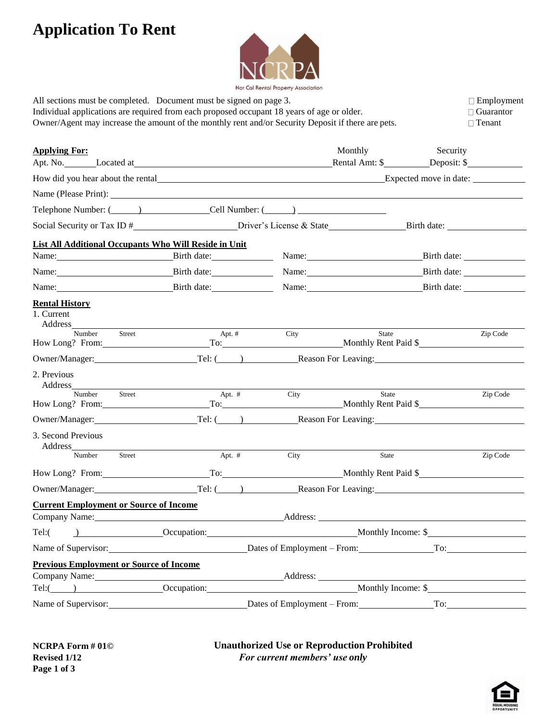## **Application To Rent**



| All sections must be completed. Document must be signed on page 3.<br>Individual applications are required from each proposed occupant 18 years of age or older.<br>Owner/Agent may increase the amount of the monthly rent and/or Security Deposit if there are pets. |                                                         |      |                                                               | $\Box$ Employment<br>$\Box$ Guarantor<br>$\Box$ Tenant |  |
|------------------------------------------------------------------------------------------------------------------------------------------------------------------------------------------------------------------------------------------------------------------------|---------------------------------------------------------|------|---------------------------------------------------------------|--------------------------------------------------------|--|
| <b>Applying For:</b>                                                                                                                                                                                                                                                   |                                                         |      | Monthly                                                       | Security<br>Rental Amt: \$ Deposit: \$                 |  |
| How did you hear about the rental Expected move in date:                                                                                                                                                                                                               |                                                         |      |                                                               |                                                        |  |
|                                                                                                                                                                                                                                                                        |                                                         |      |                                                               |                                                        |  |
| Telephone Number: (Chapter and Cell Number: (Chapter and Cell Number: (Chapter and Cell Number: (Chapter and Cell Number: (Chapter and Cell Number: (Chapter and Cell Number: (Chapter and Cell Number: (Chapter and Cell Numb                                         |                                                         |      |                                                               |                                                        |  |
|                                                                                                                                                                                                                                                                        | Social Security or Tax ID # Driver's License & State    |      |                                                               |                                                        |  |
| <b>List All Additional Occupants Who Will Reside in Unit</b>                                                                                                                                                                                                           |                                                         |      |                                                               |                                                        |  |
| Name: Birth date:                                                                                                                                                                                                                                                      |                                                         |      |                                                               | Name: Birth date:                                      |  |
| Name: Birth date:                                                                                                                                                                                                                                                      |                                                         |      |                                                               | Name: Birth date:                                      |  |
| Name: Birth date:                                                                                                                                                                                                                                                      |                                                         |      |                                                               | Name: Birth date:                                      |  |
| <b>Rental History</b><br>1. Current                                                                                                                                                                                                                                    |                                                         |      |                                                               |                                                        |  |
| Number<br>Street<br>How Long? From:                                                                                                                                                                                                                                    | Apt. $#$                                                | City | State                                                         | Zip Code<br>To: Monthly Rent Paid \$                   |  |
|                                                                                                                                                                                                                                                                        |                                                         |      | Owner/Manager: Tel: ( ) Reason For Leaving:                   |                                                        |  |
| 2. Previous                                                                                                                                                                                                                                                            |                                                         |      |                                                               |                                                        |  |
| Street<br>Number<br>How Long? From: To: To: Monthly Rent Paid \$                                                                                                                                                                                                       | Apt. $#$                                                | City | State                                                         | Zip Code                                               |  |
|                                                                                                                                                                                                                                                                        |                                                         |      | Owner/Manager: Tel: (Channel Press, Reason For Leaving: 2004) |                                                        |  |
| 3. Second Previous<br>Address_                                                                                                                                                                                                                                         |                                                         |      |                                                               |                                                        |  |
| Number<br>Street                                                                                                                                                                                                                                                       | Apt. $#$                                                | City | State                                                         | Zip Code                                               |  |
| How Long? From:                                                                                                                                                                                                                                                        |                                                         |      |                                                               | To: Monthly Rent Paid \$                               |  |
| Owner/Manager:                                                                                                                                                                                                                                                         |                                                         |      |                                                               | Tel: (1200) Reason For Leaving:                        |  |
| <b>Current Employment or Source of Income</b><br>Company Name: Manual Company Name:                                                                                                                                                                                    |                                                         |      |                                                               | Address:                                               |  |
| Tel:                                                                                                                                                                                                                                                                   | Decupation: Monthly Income: \$                          |      |                                                               |                                                        |  |
| Name of Supervisor: <u>Dates</u> of Employment – From: To: To: To:                                                                                                                                                                                                     |                                                         |      |                                                               |                                                        |  |
| <b>Previous Employment or Source of Income</b>                                                                                                                                                                                                                         |                                                         |      |                                                               |                                                        |  |
| Company Name: Address: Address: Address: Address: Address: Address: Address: Address: Address: Address: Address: Address: Address: Address: Address: Address: Address: Address: Address: Address: Address: Address: Address: A                                         |                                                         |      |                                                               |                                                        |  |
|                                                                                                                                                                                                                                                                        |                                                         |      |                                                               |                                                        |  |
|                                                                                                                                                                                                                                                                        | Name of Supervisor: Dates of Employment – From: To: To: |      |                                                               |                                                        |  |

**Unauthorized Use or Reproduction Prohibited** *For current members' use only*

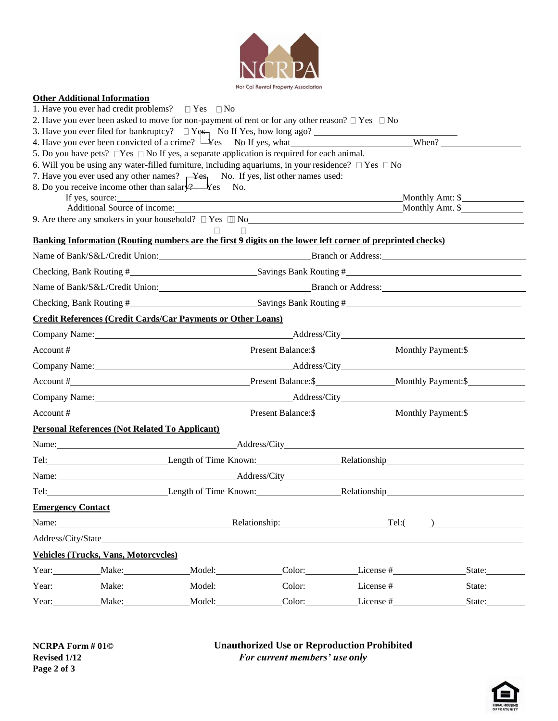

## **Other Additional Information**

|                                                                         |                                                       | 1. Have you ever had credit problems? $\Box$ Yes $\Box$ No                                                             |                       |                                                                                                                                                                                                                                |                                                                                                                                                                                                                                           |  |  |  |
|-------------------------------------------------------------------------|-------------------------------------------------------|------------------------------------------------------------------------------------------------------------------------|-----------------------|--------------------------------------------------------------------------------------------------------------------------------------------------------------------------------------------------------------------------------|-------------------------------------------------------------------------------------------------------------------------------------------------------------------------------------------------------------------------------------------|--|--|--|
|                                                                         |                                                       | 2. Have you ever been asked to move for non-payment of rent or for any other reason? $\Box$ Yes $\Box$ No              |                       |                                                                                                                                                                                                                                |                                                                                                                                                                                                                                           |  |  |  |
|                                                                         |                                                       | 3. Have you ever filed for bankruptcy? $\Box$ Yes, No If Yes, how long ago?                                            |                       |                                                                                                                                                                                                                                |                                                                                                                                                                                                                                           |  |  |  |
|                                                                         |                                                       | 4. Have you ever been convicted of a crime? $\Box$ Yes No If yes, what                                                 | When? $\qquad \qquad$ |                                                                                                                                                                                                                                |                                                                                                                                                                                                                                           |  |  |  |
|                                                                         |                                                       | 5. Do you have pets? $\square$ Yes $\square$ No If yes, a separate application is required for each animal.            |                       |                                                                                                                                                                                                                                |                                                                                                                                                                                                                                           |  |  |  |
|                                                                         |                                                       | 6. Will you be using any water-filled furniture, including aquariums, in your residence? $\Box$ Yes $\Box$ No          |                       |                                                                                                                                                                                                                                |                                                                                                                                                                                                                                           |  |  |  |
|                                                                         |                                                       | 7. Have you ever used any other names? $\rightarrow$ Yes <sub>1</sub> No. If yes, list other names used: $\rightarrow$ |                       |                                                                                                                                                                                                                                |                                                                                                                                                                                                                                           |  |  |  |
|                                                                         |                                                       | 8. Do you receive income other than salar $\sqrt{2}$ $\frac{1}{2}$ $\sqrt{2}$ Ro.                                      |                       |                                                                                                                                                                                                                                |                                                                                                                                                                                                                                           |  |  |  |
|                                                                         | If yes, source:                                       |                                                                                                                        |                       | Monthly Amt: \$<br>Monthly Amt. \$                                                                                                                                                                                             |                                                                                                                                                                                                                                           |  |  |  |
| 9. Are there any smokers in your household? $\Box$ Yes $\Box$ No $\Box$ |                                                       |                                                                                                                        |                       |                                                                                                                                                                                                                                |                                                                                                                                                                                                                                           |  |  |  |
|                                                                         |                                                       | $\Box$                                                                                                                 |                       |                                                                                                                                                                                                                                |                                                                                                                                                                                                                                           |  |  |  |
|                                                                         |                                                       |                                                                                                                        |                       | Banking Information (Routing numbers are the first 9 digits on the lower left corner of preprinted checks)                                                                                                                     |                                                                                                                                                                                                                                           |  |  |  |
|                                                                         |                                                       | Name of Bank/S&L/Credit Union: Branch or Address: Branch or Address:                                                   |                       |                                                                                                                                                                                                                                |                                                                                                                                                                                                                                           |  |  |  |
|                                                                         |                                                       | Checking, Bank Routing #<br>Savings Bank Routing #<br>Noting #                                                         |                       |                                                                                                                                                                                                                                |                                                                                                                                                                                                                                           |  |  |  |
|                                                                         |                                                       | Name of Bank/S&L/Credit Union: Branch or Address:                                                                      |                       |                                                                                                                                                                                                                                |                                                                                                                                                                                                                                           |  |  |  |
|                                                                         | Checking, Bank Routing # Savings Bank Routing #       |                                                                                                                        |                       |                                                                                                                                                                                                                                |                                                                                                                                                                                                                                           |  |  |  |
|                                                                         |                                                       | <b>Credit References (Credit Cards/Car Payments or Other Loans)</b>                                                    |                       |                                                                                                                                                                                                                                |                                                                                                                                                                                                                                           |  |  |  |
|                                                                         |                                                       |                                                                                                                        |                       | Company Name: Name and South Address/City Address/City Address/City Address City Address City Address 2014                                                                                                                     |                                                                                                                                                                                                                                           |  |  |  |
|                                                                         |                                                       |                                                                                                                        |                       |                                                                                                                                                                                                                                |                                                                                                                                                                                                                                           |  |  |  |
|                                                                         |                                                       |                                                                                                                        |                       | Company Name: Address/City Address/City                                                                                                                                                                                        |                                                                                                                                                                                                                                           |  |  |  |
|                                                                         |                                                       |                                                                                                                        |                       |                                                                                                                                                                                                                                |                                                                                                                                                                                                                                           |  |  |  |
|                                                                         |                                                       |                                                                                                                        |                       | Company Name: Address/City Address/City Address/City Address/City Address Address Address Address Address Address Address Address Address Address Address Address Address Address Address Address Address Address Address Addr |                                                                                                                                                                                                                                           |  |  |  |
|                                                                         |                                                       |                                                                                                                        |                       |                                                                                                                                                                                                                                | Account # <u>Nonthly Payment: \$</u> <b>Present Balance: \$ <b>Monthly Payment: \$ Monthly Payment: \$ Monthly Payment: \$ Monthly Payment: \$ Monthly Payment: \$ Monthly Payment: \$ Monthly Payment: \$ Monthly Payment: \$ Mo</b></b> |  |  |  |
|                                                                         | <b>Personal References (Not Related To Applicant)</b> |                                                                                                                        |                       |                                                                                                                                                                                                                                |                                                                                                                                                                                                                                           |  |  |  |
|                                                                         |                                                       |                                                                                                                        |                       |                                                                                                                                                                                                                                |                                                                                                                                                                                                                                           |  |  |  |
|                                                                         |                                                       |                                                                                                                        |                       | Tel: Length of Time Known: Relationship Relationship                                                                                                                                                                           |                                                                                                                                                                                                                                           |  |  |  |
|                                                                         |                                                       |                                                                                                                        |                       | Name: Address/City Address/City                                                                                                                                                                                                |                                                                                                                                                                                                                                           |  |  |  |
|                                                                         |                                                       |                                                                                                                        |                       | Tel: Length of Time Known: Relationship                                                                                                                                                                                        |                                                                                                                                                                                                                                           |  |  |  |
| <b>Emergency Contact</b>                                                |                                                       |                                                                                                                        |                       |                                                                                                                                                                                                                                |                                                                                                                                                                                                                                           |  |  |  |
|                                                                         | Name: Relationship: Relationship:<br>$Tel:$ (         |                                                                                                                        |                       |                                                                                                                                                                                                                                |                                                                                                                                                                                                                                           |  |  |  |
|                                                                         |                                                       |                                                                                                                        |                       |                                                                                                                                                                                                                                |                                                                                                                                                                                                                                           |  |  |  |
|                                                                         | <b>Vehicles (Trucks, Vans, Motorcycles)</b>           |                                                                                                                        |                       |                                                                                                                                                                                                                                |                                                                                                                                                                                                                                           |  |  |  |
|                                                                         | Year: Make: Make:                                     |                                                                                                                        |                       |                                                                                                                                                                                                                                |                                                                                                                                                                                                                                           |  |  |  |
|                                                                         |                                                       |                                                                                                                        |                       | Year: Make: Model: Color: License # State: State:                                                                                                                                                                              |                                                                                                                                                                                                                                           |  |  |  |
|                                                                         | Year: Make:                                           |                                                                                                                        |                       | Model: Color: License #                                                                                                                                                                                                        | State:                                                                                                                                                                                                                                    |  |  |  |

**NCRPA Form # 01© Revised 1/12 Page 2 of 3**

**Unauthorized Use or Reproduction Prohibited** *For current members' use only*